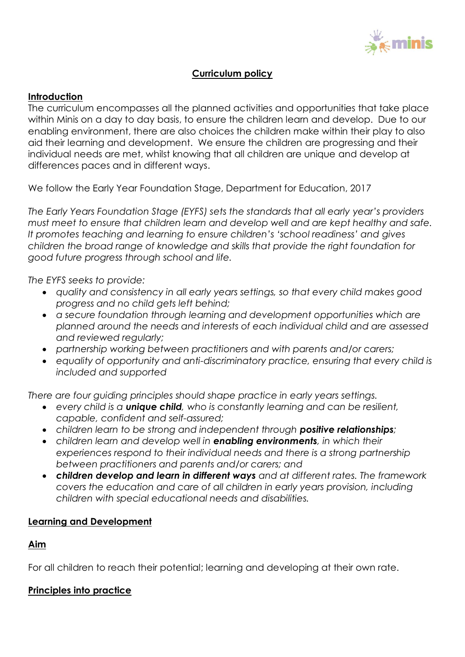

## **Curriculum policy**

#### **Introduction**

The curriculum encompasses all the planned activities and opportunities that take place within Minis on a day to day basis, to ensure the children learn and develop. Due to our enabling environment, there are also choices the children make within their play to also aid their learning and development. We ensure the children are progressing and their individual needs are met, whilst knowing that all children are unique and develop at differences paces and in different ways.

We follow the Early Year Foundation Stage, Department for Education, 2017

*The Early Years Foundation Stage (EYFS) sets the standards that all early year's providers must meet to ensure that children learn and develop well and are kept healthy and safe. It promotes teaching and learning to ensure children's 'school readiness' and gives children the broad range of knowledge and skills that provide the right foundation for good future progress through school and life.*

*The EYFS seeks to provide:* 

- *quality and consistency in all early years settings, so that every child makes good progress and no child gets left behind;*
- *a secure foundation through learning and development opportunities which are planned around the needs and interests of each individual child and are assessed and reviewed regularly;*
- *partnership working between practitioners and with parents and/or carers;*
- *equality of opportunity and anti-discriminatory practice, ensuring that every child is included and supported*

*There are four guiding principles should shape practice in early years settings.* 

- *every child is a unique child, who is constantly learning and can be resilient, capable, confident and self-assured;*
- *children learn to be strong and independent through positive relationships;*
- *children learn and develop well in enabling environments, in which their experiences respond to their individual needs and there is a strong partnership between practitioners and parents and/or carers; and*
- *children develop and learn in different ways and at different rates. The framework covers the education and care of all children in early years provision, including children with special educational needs and disabilities.*

## **Learning and Development**

## **Aim**

For all children to reach their potential; learning and developing at their own rate.

## **Principles into practice**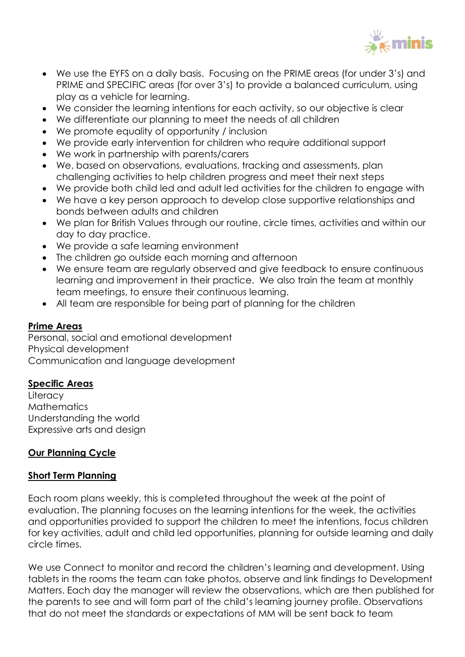

- We use the EYFS on a daily basis. Focusing on the PRIME areas (for under 3's) and PRIME and SPECIFIC areas (for over 3's) to provide a balanced curriculum, using play as a vehicle for learning.
- We consider the learning intentions for each activity, so our objective is clear
- We differentiate our planning to meet the needs of all children
- We promote equality of opportunity / inclusion
- We provide early intervention for children who require additional support
- We work in partnership with parents/carers
- We, based on observations, evaluations, tracking and assessments, plan challenging activities to help children progress and meet their next steps
- We provide both child led and adult led activities for the children to engage with
- We have a key person approach to develop close supportive relationships and bonds between adults and children
- We plan for British Values through our routine, circle times, activities and within our day to day practice.
- We provide a safe learning environment
- The children go outside each morning and afternoon
- We ensure team are regularly observed and give feedback to ensure continuous learning and improvement in their practice. We also train the team at monthly team meetings, to ensure their continuous learning.
- All team are responsible for being part of planning for the children

# **Prime Areas**

Personal, social and emotional development Physical development Communication and language development

## **Specific Areas**

**Literacy Mathematics** Understanding the world Expressive arts and design

# **Our Planning Cycle**

## **Short Term Planning**

Each room plans weekly, this is completed throughout the week at the point of evaluation. The planning focuses on the learning intentions for the week, the activities and opportunities provided to support the children to meet the intentions, focus children for key activities, adult and child led opportunities, planning for outside learning and daily circle times.

We use Connect to monitor and record the children's learning and development. Using tablets in the rooms the team can take photos, observe and link findings to Development Matters. Each day the manager will review the observations, which are then published for the parents to see and will form part of the child's learning journey profile. Observations that do not meet the standards or expectations of MM will be sent back to team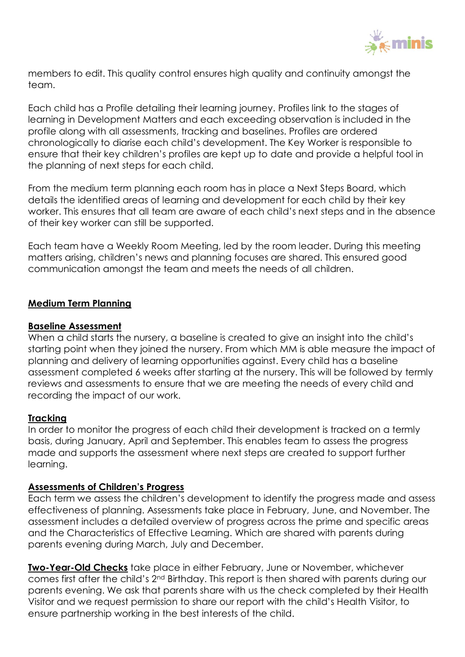

members to edit. This quality control ensures high quality and continuity amongst the team.

Each child has a Profile detailing their learning journey. Profiles link to the stages of learning in Development Matters and each exceeding observation is included in the profile along with all assessments, tracking and baselines. Profiles are ordered chronologically to diarise each child's development. The Key Worker is responsible to ensure that their key children's profiles are kept up to date and provide a helpful tool in the planning of next steps for each child.

From the medium term planning each room has in place a Next Steps Board, which details the identified areas of learning and development for each child by their key worker. This ensures that all team are aware of each child's next steps and in the absence of their key worker can still be supported.

Each team have a Weekly Room Meeting, led by the room leader. During this meeting matters arising, children's news and planning focuses are shared. This ensured good communication amongst the team and meets the needs of all children.

#### **Medium Term Planning**

#### **Baseline Assessment**

When a child starts the nursery, a baseline is created to give an insight into the child's starting point when they joined the nursery. From which MM is able measure the impact of planning and delivery of learning opportunities against. Every child has a baseline assessment completed 6 weeks after starting at the nursery. This will be followed by termly reviews and assessments to ensure that we are meeting the needs of every child and recording the impact of our work.

#### **Tracking**

In order to monitor the progress of each child their development is tracked on a termly basis, during January, April and September. This enables team to assess the progress made and supports the assessment where next steps are created to support further learning.

#### **Assessments of Children's Progress**

Each term we assess the children's development to identify the progress made and assess effectiveness of planning. Assessments take place in February, June, and November. The assessment includes a detailed overview of progress across the prime and specific areas and the Characteristics of Effective Learning. Which are shared with parents during parents evening during March, July and December.

**Two-Year-Old Checks** take place in either February, June or November, whichever comes first after the child's 2nd Birthday. This report is then shared with parents during our parents evening. We ask that parents share with us the check completed by their Health Visitor and we request permission to share our report with the child's Health Visitor, to ensure partnership working in the best interests of the child.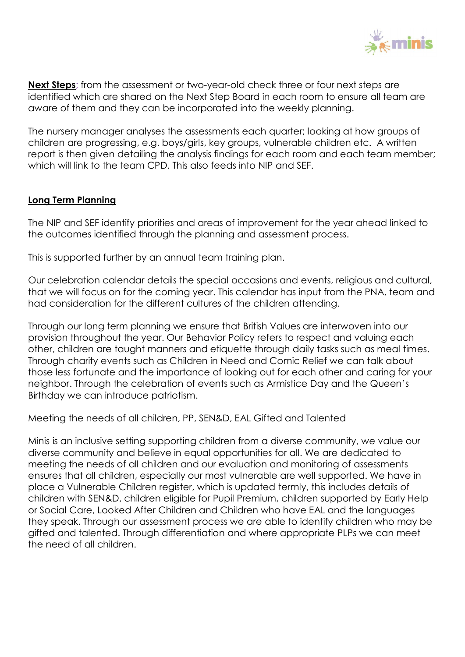

**Next Steps**; from the assessment or two-year-old check three or four next steps are identified which are shared on the Next Step Board in each room to ensure all team are aware of them and they can be incorporated into the weekly planning.

The nursery manager analyses the assessments each quarter; looking at how groups of children are progressing, e.g. boys/girls, key groups, vulnerable children etc. A written report is then given detailing the analysis findings for each room and each team member; which will link to the team CPD. This also feeds into NIP and SEF.

#### **Long Term Planning**

The NIP and SEF identify priorities and areas of improvement for the year ahead linked to the outcomes identified through the planning and assessment process.

This is supported further by an annual team training plan.

Our celebration calendar details the special occasions and events, religious and cultural, that we will focus on for the coming year. This calendar has input from the PNA, team and had consideration for the different cultures of the children attending.

Through our long term planning we ensure that British Values are interwoven into our provision throughout the year. Our Behavior Policy refers to respect and valuing each other, children are taught manners and etiquette through daily tasks such as meal times. Through charity events such as Children in Need and Comic Relief we can talk about those less fortunate and the importance of looking out for each other and caring for your neighbor. Through the celebration of events such as Armistice Day and the Queen's Birthday we can introduce patriotism.

Meeting the needs of all children, PP, SEN&D, EAL Gifted and Talented

Minis is an inclusive setting supporting children from a diverse community, we value our diverse community and believe in equal opportunities for all. We are dedicated to meeting the needs of all children and our evaluation and monitoring of assessments ensures that all children, especially our most vulnerable are well supported. We have in place a Vulnerable Children register, which is updated termly, this includes details of children with SEN&D, children eligible for Pupil Premium, children supported by Early Help or Social Care, Looked After Children and Children who have EAL and the languages they speak. Through our assessment process we are able to identify children who may be gifted and talented. Through differentiation and where appropriate PLPs we can meet the need of all children.